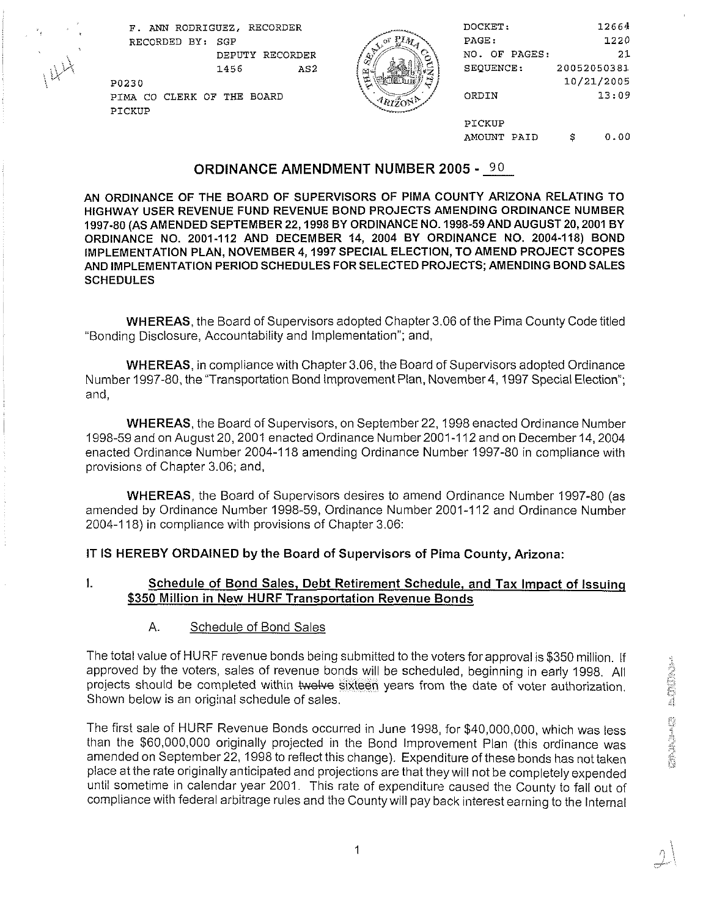

| F. ANN RODRIGUEZ, RECORDER |   | DOCKET:       | 12664       |
|----------------------------|---|---------------|-------------|
| RECORDED BY: SGP           |   | PAGE:         | 1220        |
| RECORDER<br>DEPUTY         |   | NO. OF PAGES: | 21          |
| AS <sub>2</sub><br>1456    | 闛 | SEQUENCE:     | 20052050381 |
| P0230                      |   |               | 10/21/2005  |
| PIMA CO CLERK OF THE BOARD |   | ORDIN         | 13:09       |
| PICKUP                     |   |               |             |
|                            |   | PICKUP        |             |
|                            |   | AMOUNT PAID   | 0.00<br>s   |

#### **ORDINANCE AMENDMENT NUMBER 2005** - **90**

AN ORDINANCE OF THE BOARD OF SUPERVISORS OF PlMA COUNTY ARIZONA RELATING TO HIGHWAY USER REVENUE FUND REVENUE BOND PROJECTS AMENDING ORDINANCE NUMBER 1997-80 (AS AMENDED SEPTEMBER 22,1998 BY ORDINANCE NO. 1998-59AND AUGUST 20,2001 BY ORDINANCE NO. 2001-112 AND DECEMBER 14, 2004 BY ORDINANCE NO. 2004-118) BOND IMPLEMENTATION PLAN, NOVEMBER 4,1997 SPECIAL ELECTION, TO AMEND PROJECT SCOPES AND IMPLEMENTATION PERIOD SCHEDULES FOR SELECTED PROJECTS; AMENDING BOND SALES **SCHEDULES** 

WHEREAS, the Board of Supervisors adopted Chapter 3.06 of the Pima County Code titled "Bonding Disclosure, Accountability and Implementation"; and,

WHEREAS, in compliance with Chapter 3.06, the Board of Supervisors adopted Ordinance Number 1997-80, the "Transportation Bond Improvement Plan, November 4,1997 Special Election"; and,

WHEREAS, the Board of Supervisors, on September 22, 1998 enacted Ordinance Number 1998-59 and on August 20,2001 enacted Ordinance Number 2001-1 12 and on December 14,2004 enacted Ordinance Number 2004-1 18 amending Ordinance Number 1997-80 in compliance with provisions of Chapter 3.06; and,

WHEREAS, the Board of Supervisors desires to amend Ordinance Number 1997-80 (as amended by Ordinance Number 1998-59, Ordinance Number 2001-1 12 and Ordinance Number 2004-1 18) in compliance with provisions of Chapter 3.06:

IT IS HEREBY ORDAINED by the Board of Supervisors of Pima County, Arizona:

#### **1.** Schedule of Bond Sales, Debt Retirement Schedule, and Tax Impact of lssuinq \$350 Million in New HURF Transportation Revenue Bonds

A. Schedule of Bond Sales

The total value of HURF revenue bonds being submitted to the votersforapproval is \$350 million. If approved by the voters, sales of revenue bonds will be scheduled, beginning in early 1998. All projects should be completed within twelve sixteen years from the date of voter authorization. Shown below is an original schedule of sales.

The first sale of HURF Revenue Bonds occurred in June 1998, for \$40,000,000, which was less than the \$60,000,000 originally projected in the Bond Improvement Plan (this ordinance was amended on September 22, 1998 to reflect this change). Expenditure of these bonds has not taken place at the rate originally anticipated and projections are that they will not be completely expended until sometime in calendar year 2001. This rate of expenditure caused the County to fall out of compliance with federal arbitrage rules and the County will pay back interest earning to the Internal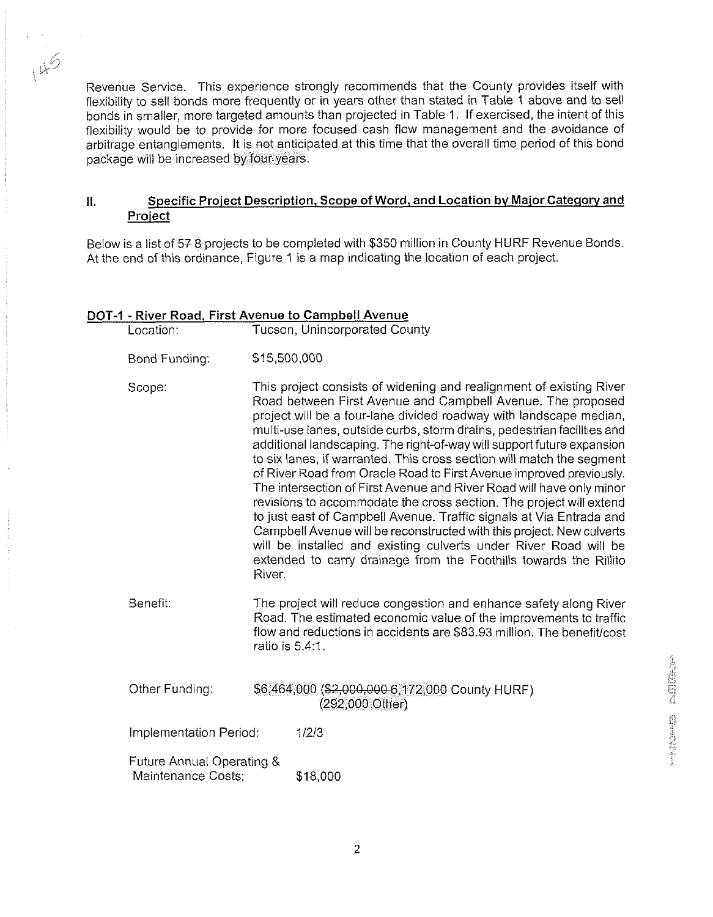Revenue Service. This experience strongly recommends that the County provides itself with flexibility to sell bonds more frequently or in years other than stated in Table I above and to sell bonds in smaller, more targeted amounts than projected in Table 1. If exercised, the intent of this flexibility would be to provide for more focused cash flow management and the avoidance of arbitrage entanglements. It is not anticipated at this time that the overall time period of this bond package will be increased by four years.

#### II. Specific Project Description, Scope of Word, and Location by Major Category and Proiect

Below is a list of 57 8 projects to be completed with \$350 million in County HURF Revenue Bonds At the end of this ordinance, Figure 1 is a map indicating the location of each project.

#### DOT-1 - River Road, First Avenue to Campbell Avenue

| Location:                                       | Tucson, Unincorporated County                                                                                                                                                                                                                                                                                                                                                                                                                                                                                                                                                                                                                                                                                                                                                                                                                                                                                                                                   |  |
|-------------------------------------------------|-----------------------------------------------------------------------------------------------------------------------------------------------------------------------------------------------------------------------------------------------------------------------------------------------------------------------------------------------------------------------------------------------------------------------------------------------------------------------------------------------------------------------------------------------------------------------------------------------------------------------------------------------------------------------------------------------------------------------------------------------------------------------------------------------------------------------------------------------------------------------------------------------------------------------------------------------------------------|--|
| Bond Funding:                                   | \$15,500,000                                                                                                                                                                                                                                                                                                                                                                                                                                                                                                                                                                                                                                                                                                                                                                                                                                                                                                                                                    |  |
| Scope:                                          | This project consists of widening and realignment of existing River<br>Road between First Avenue and Campbell Avenue. The proposed<br>project will be a four-lane divided roadway with landscape median,<br>multi-use lanes, outside curbs, storm drains, pedestrian facilities and<br>additional landscaping. The right-of-way will support future expansion<br>to six lanes, if warranted. This cross section will match the segment<br>of River Road from Oracle Road to First Avenue improved previously.<br>The intersection of First Avenue and River Road will have only minor<br>revisions to accommodate the cross section. The project will extend<br>to just east of Campbell Avenue. Traffic signals at Via Entrada and<br>Campbell Avenue will be reconstructed with this project. New culverts<br>will be installed and existing culverts under River Road will be<br>extended to carry drainage from the Foothills towards the Rillito<br>River. |  |
| Benefit.                                        | The project will reduce congestion and enhance safety along River<br>Road. The estimated economic value of the improvements to traffic<br>flow and reductions in accidents are \$83.93 million. The benefit cost<br>ratio is 5.4:1.                                                                                                                                                                                                                                                                                                                                                                                                                                                                                                                                                                                                                                                                                                                             |  |
| Other Funding:                                  | \$6,464,000 (\$2,000,000 6,172,000 County HURF)<br>(292,000 Other)                                                                                                                                                                                                                                                                                                                                                                                                                                                                                                                                                                                                                                                                                                                                                                                                                                                                                              |  |
| Implementation Period:                          | 1/2/3                                                                                                                                                                                                                                                                                                                                                                                                                                                                                                                                                                                                                                                                                                                                                                                                                                                                                                                                                           |  |
| Future Annual Operating &<br>Maintenance Costs: | \$18,000                                                                                                                                                                                                                                                                                                                                                                                                                                                                                                                                                                                                                                                                                                                                                                                                                                                                                                                                                        |  |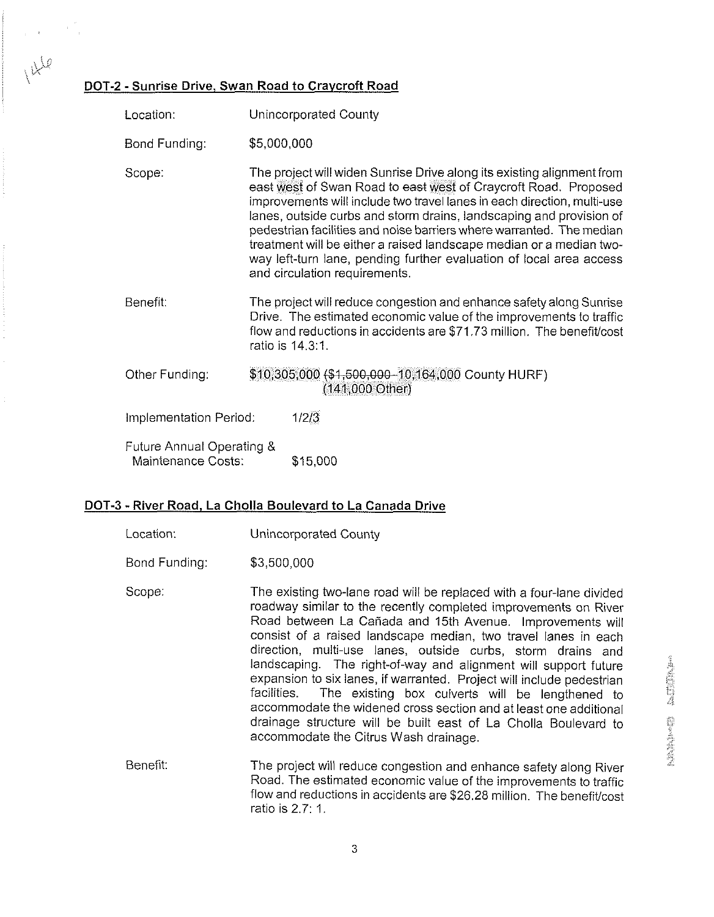## $\mu^{\downarrow\downarrow\varnothing}$ DOT-2 - Sunrise Drive, Swan Road to Craycroft Road

| Location:                                       |                                                                                                                                                                                                                                                                                                                                                                                                                                                                                                                                                    | Unincorporated County                                                                                                                                                                                                                   |
|-------------------------------------------------|----------------------------------------------------------------------------------------------------------------------------------------------------------------------------------------------------------------------------------------------------------------------------------------------------------------------------------------------------------------------------------------------------------------------------------------------------------------------------------------------------------------------------------------------------|-----------------------------------------------------------------------------------------------------------------------------------------------------------------------------------------------------------------------------------------|
| Bond Funding:                                   | \$5,000,000                                                                                                                                                                                                                                                                                                                                                                                                                                                                                                                                        |                                                                                                                                                                                                                                         |
| Scope:                                          | The project will widen Sunrise Drive along its existing alignment from<br>east west of Swan Road to east west of Craycroft Road. Proposed<br>improvements will include two travel lanes in each direction, multi-use<br>lanes, outside curbs and storm drains, landscaping and provision of<br>pedestrian facilities and noise barriers where warranted. The median<br>treatment will be either a raised landscape median or a median two-<br>way left-turn lane, pending further evaluation of local area access<br>and circulation requirements. |                                                                                                                                                                                                                                         |
| Benefit:                                        |                                                                                                                                                                                                                                                                                                                                                                                                                                                                                                                                                    | The project will reduce congestion and enhance safety along Sunrise<br>Drive. The estimated economic value of the improvements to traffic<br>flow and reductions in accidents are \$71.73 million. The benefit/cost<br>ratio is 14.3:1. |
| Other Funding:                                  | \$10,305,000 (\$1,500,000-10,164,000 County HURF)<br>$(141,000 \text{ Other})$                                                                                                                                                                                                                                                                                                                                                                                                                                                                     |                                                                                                                                                                                                                                         |
| Implementation Period:                          |                                                                                                                                                                                                                                                                                                                                                                                                                                                                                                                                                    | 1/2/3                                                                                                                                                                                                                                   |
| Future Annual Operating &<br>Maintenance Costs: |                                                                                                                                                                                                                                                                                                                                                                                                                                                                                                                                                    | \$15,000                                                                                                                                                                                                                                |

#### DOT-3 - River Road, La Cholla Boulevard to La Canada Drive

| Location:     | Unincorporated County                                                                                                                                                                                                                                                                                                                                                                                                                                                                                                                                                                                                                                                                                                                |
|---------------|--------------------------------------------------------------------------------------------------------------------------------------------------------------------------------------------------------------------------------------------------------------------------------------------------------------------------------------------------------------------------------------------------------------------------------------------------------------------------------------------------------------------------------------------------------------------------------------------------------------------------------------------------------------------------------------------------------------------------------------|
| Bond Funding: | \$3,500,000                                                                                                                                                                                                                                                                                                                                                                                                                                                                                                                                                                                                                                                                                                                          |
| Scope:        | The existing two-lane road will be replaced with a four-lane divided<br>roadway similar to the recently completed improvements on River<br>Road between La Cañada and 15th Avenue. Improvements will<br>consist of a raised landscape median, two travel lanes in each<br>direction, multi-use lanes, outside curbs, storm drains and<br>landscaping. The right-of-way and alignment will support future<br>expansion to six lanes, if warranted. Project will include pedestrian<br>The existing box culverts will be lengthened to<br>facilities.<br>accommodate the widened cross section and at least one additional<br>drainage structure will be built east of La Cholla Boulevard to<br>accommodate the Citrus Wash drainage. |
| Benefit:      | The project will reduce congestion and enhance safety along River<br>Road. The estimated economic value of the improvements to traffic<br>flow and reductions in accidents are \$26.28 million. The benefit/cost<br>ratio is 2.7: 1.                                                                                                                                                                                                                                                                                                                                                                                                                                                                                                 |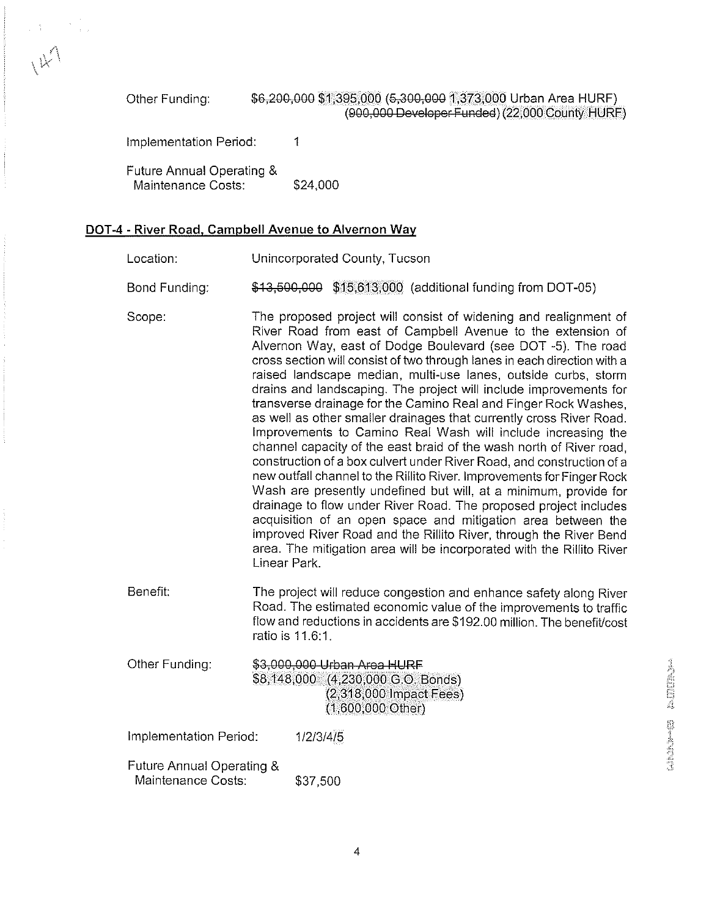Other Funding: \$6,200,000 \$1,395,000 (5,300,000 1,373,000 Urban Area HURF) (900,000 Developer Funded) (22,000 County HURF)

Implementation Period: 1

 $\frac{1}{2} \sum_{i=1}^{n} \frac{1}{2}$ 

 $\aleph^{\wedge}$ 

| Future Annual Operating & |          |
|---------------------------|----------|
| Maintenance Costs:        | \$24,000 |

#### **DOT-4** - River Road, Campbell Avenue to Alvernon Way

| Location:                                       |                                                                                                                                                                                                                                                                                                                                                                                                                                                                                                                                                                                                                                                                                                                                                                                                                                                                                                                                                                                                                                                                                                                                                                                                                              | Unincorporated County, Tucson                                                                                                                                                                                                         |  |  |
|-------------------------------------------------|------------------------------------------------------------------------------------------------------------------------------------------------------------------------------------------------------------------------------------------------------------------------------------------------------------------------------------------------------------------------------------------------------------------------------------------------------------------------------------------------------------------------------------------------------------------------------------------------------------------------------------------------------------------------------------------------------------------------------------------------------------------------------------------------------------------------------------------------------------------------------------------------------------------------------------------------------------------------------------------------------------------------------------------------------------------------------------------------------------------------------------------------------------------------------------------------------------------------------|---------------------------------------------------------------------------------------------------------------------------------------------------------------------------------------------------------------------------------------|--|--|
| Bond Funding:                                   |                                                                                                                                                                                                                                                                                                                                                                                                                                                                                                                                                                                                                                                                                                                                                                                                                                                                                                                                                                                                                                                                                                                                                                                                                              | \$13,500,000 \$15,613,000 (additional funding from DOT-05)                                                                                                                                                                            |  |  |
| Scope:                                          | The proposed project will consist of widening and realignment of<br>River Road from east of Campbell Avenue to the extension of<br>Alvernon Way, east of Dodge Boulevard (see DOT -5). The road<br>cross section will consist of two through lanes in each direction with a<br>raised landscape median, multi-use lanes, outside curbs, storm<br>drains and landscaping. The project will include improvements for<br>transverse drainage for the Camino Real and Finger Rock Washes,<br>as well as other smaller drainages that currently cross River Road.<br>Improvements to Camino Real Wash will include increasing the<br>channel capacity of the east braid of the wash north of River road,<br>construction of a box culvert under River Road, and construction of a<br>new outfall channel to the Rillito River. Improvements for Finger Rock<br>Wash are presently undefined but will, at a minimum, provide for<br>drainage to flow under River Road. The proposed project includes<br>acquisition of an open space and mitigation area between the<br>improved River Road and the Rillito River, through the River Bend<br>area. The mitigation area will be incorporated with the Rillito River<br>Linear Park. |                                                                                                                                                                                                                                       |  |  |
| Benefit:                                        |                                                                                                                                                                                                                                                                                                                                                                                                                                                                                                                                                                                                                                                                                                                                                                                                                                                                                                                                                                                                                                                                                                                                                                                                                              | The project will reduce congestion and enhance safety along River<br>Road. The estimated economic value of the improvements to traffic<br>flow and reductions in accidents are \$192.00 million. The benefit/cost<br>ratio is 11.6:1. |  |  |
| Other Funding:                                  |                                                                                                                                                                                                                                                                                                                                                                                                                                                                                                                                                                                                                                                                                                                                                                                                                                                                                                                                                                                                                                                                                                                                                                                                                              | \$3,000,000 Urban Area HURF<br>\$8,148,000 (4,230,000 G.O. Bonds)<br>$(2,318,000$ Impact Fees)<br>$(1,600,000 \text{ Other})$                                                                                                         |  |  |
| Implementation Period:                          |                                                                                                                                                                                                                                                                                                                                                                                                                                                                                                                                                                                                                                                                                                                                                                                                                                                                                                                                                                                                                                                                                                                                                                                                                              | 1/2/3/4/5                                                                                                                                                                                                                             |  |  |
| Future Annual Operating &<br>Maintenance Costs: |                                                                                                                                                                                                                                                                                                                                                                                                                                                                                                                                                                                                                                                                                                                                                                                                                                                                                                                                                                                                                                                                                                                                                                                                                              | \$37,500                                                                                                                                                                                                                              |  |  |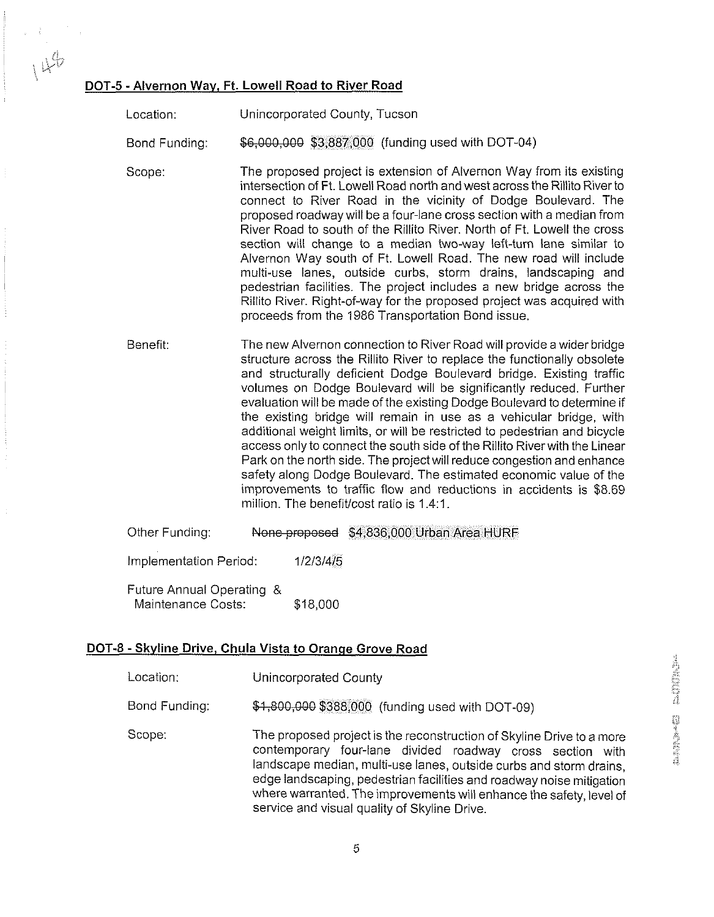#### DOT-5 - Alvernon Way, Ft. Lowell Road to River Road

Location: Unincorporated County, Tucson

Bond Funding: \$6,000,000 \$3,887,000 (funding used with DOT-04)

- Scope: The proposed project is extension of Alvernon Way from its existing intersection of Ft. Lowell Road north and west across the Rillito River to connect to River Road in the vicinity of Dodge Boulevard. The proposed roadway will be a four-lane cross section with a median from River Road to south of the Rillito River. North of Ft. Lowell the cross section will change to a median two-way left-turn lane similar to Alvernon Way south of Ft. Lowell Road. The new road will include multi-use lanes, outside curbs, storm drains, landscaping and pedestrian facilities. The project includes a new bridge across the Rillito River. Right-of-way for the proposed project was acquired with proceeds from the 1986 Transportation Bond issue.
- Benefit: The new Alvernon connection to River Road will provide a wider bridge structure across the Rillito River to replace the functionally obsolete and structurally deficient Dodge Boulevard bridge. Existing traffic volumes on Dodge Boulevard will be significantly reduced. Further evaluation will be made of the existing Dodge Boulevard to determine if the existing bridge will remain in use as a vehicular bridge, with additional weight limits, or will be restricted to pedestrian and bicycle access only to connect the south side of the Rillito Riverwith the Linear Park on the north side. The project will reduce congestion and enhance safety along Dodge Boulevard. The estimated economic value of the improvements to traffic flow and reductions in accidents is \$8.69 million. The benefit/cost ratio is 1.4:1.
- Other Funding: None proposed \$4,836,000 Urban Area HURF

Implementation Period: 1/2/3/4/5

Future Annual Operating & Maintenance Costs: \$18,000

#### DOT-8 -Skyline Drive, Chula Vista to Oranqe Grove Road

- Location: Unincorporated County
- Bond Funding: \$4,800,000 \$388,000 (funding used with DOT-09)
- Scope: The proposed project is the reconstruction of Skyline Drive to a more contemporary four-lane divided roadway cross section with landscape median, multi-use lanes, outside curbs and storm drains, edge landscaping, pedestrian facilities and roadway noise mitigation where warranted. The improvements will enhance the safety, level of service and visual quality of Skyline Drive.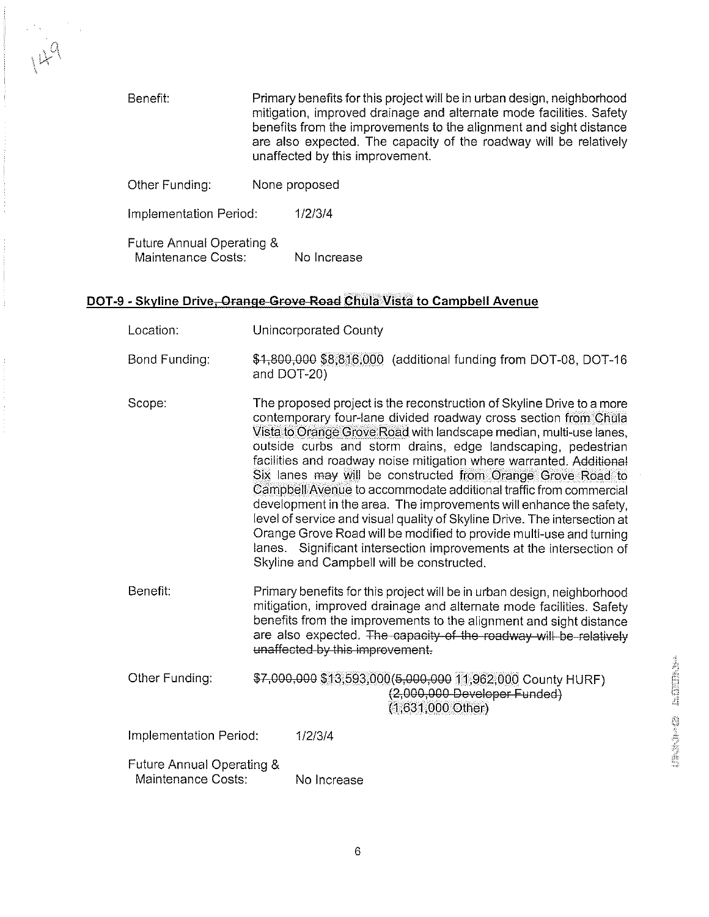Benefit: Primary benefits for this project will be in urban design, neighborhood mitigation, improved drainage and alternate mode facilities. Safety benefits from the improvements to the alignment and sight distance are also expected. The capacity of the roadway will be relatively unaffected by this improvement.

Other Funding: None proposed

Implementation Period: 1/213/4

Future Annual Operating & Maintenance Costs: No Increase

#### DOT-9 - Skyline Drive-Orange-Grove-Road Chula Vista to Campbell Avenue

- Location: Unincorporated County
- Bond Funding:  $$4,800,000$8,816,000$  (additional funding from DOT-08, DOT-16 and DOT-20)
- Scope: The proposed project is the reconstruction of Skyline Drive to a more contemporary four-lane divlded roadway cross section from Chula Vista to Orange Grove Road with landscape median, multi-use lanes, outside curbs and storm drains, edge landscaping, pedestrian facilities and roadway noise mitigation where warranted. Additional Six lanes may will be constructed from Orange Grove Road to Campbell Avenue to accommodate additional traffic from commercial development in the area. The improvements will enhance the safety, level of service and visual quality of Skyline Drive. The intersection at Orange Grove Road will be modified to provide multi-use and turning lanes. Significant intersection improvements at the intersection of Skyline and Campbell will be constructed.
- Benefit: Primary benefits for this project will be in urban design, neighborhood mitigation, improved drainage and alternate mode facilities. Safety benefits from the improvements to the alignment and sight distance are also expected. The capacity of the roadway will be relatively unaffected by this improvement.
- Other Funding: \$7,000,000 \$13,593,000(5,000,000 11,962,000 County HURF)<br>(2,000,000 Developer Funded) (1,631,000 Other)

Implementation Period: 1/2/3/4

Future Annual Operating & Maintenance Costs: No Increase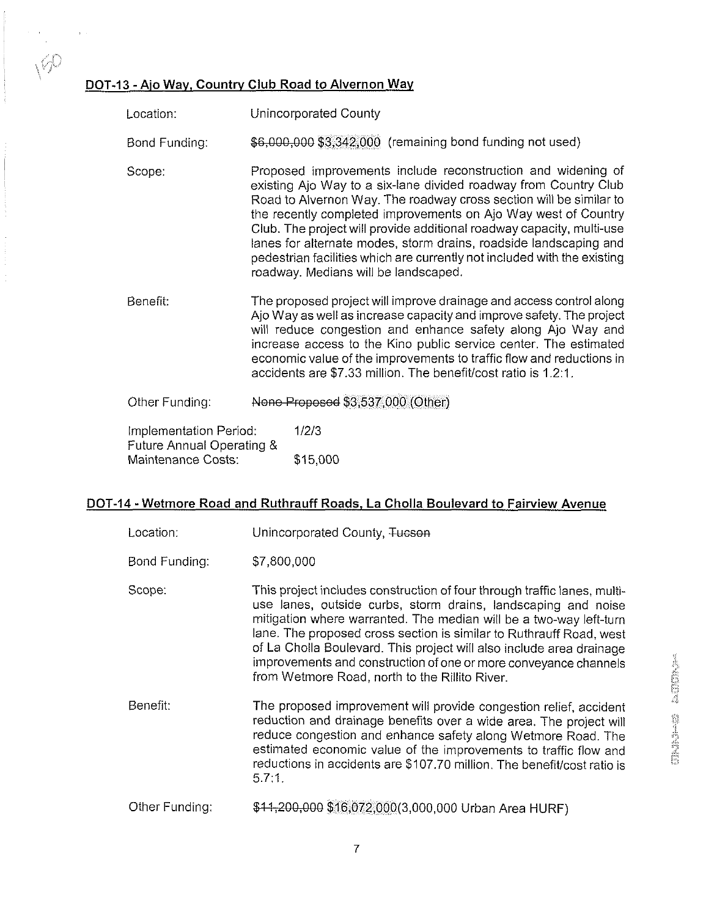#### **DOT-13** - Aio Way, Country Club Road to Alvernon Way

Location: Unincorporated County

Bond Funding: \$6,000,000 \$3,342,000 (remaining bond funding not used)

- Scope: Proposed improvements include reconstruction and widening of existing Ajo Way to a six-lane divided roadway from Country Club Road to Alvernon Way. The roadway cross section will be similar to the recently completed improvements on Ajo Way west of Country Club. The project will provide additional roadway capacity, multi-use lanes for alternate modes, storm drains, roadside landscaping and pedestrian facilities which are currently not included with the existing roadway. Medians will be landscaped.
- Benefit: The proposed project will improve drainage and access control along Ajo Way as well as increase capacity and improve safety. The project will reduce congestion and enhance safety along Ajo Way and increase access to the Kino public service center. The estimated economic value of the improvements to traffic flow and reductions in accidents are \$7.33 million. The benefiffcost ratio is 1.2:l.

Other Funding: None Proposed \$3,537,000 (Other)

Implementation Period: 1/2/3 Future Annual Operating & Maintenance Costs: \$15,000

#### **DOT-14** - Wetmore Road and Ruthrauff Roads, La Cholla Boulevard to Fairview Avenue

| Location:      | Unincorporated County, Tucson                                                                                                                                                                                                                                                                                                                                                                                                                                                                            |
|----------------|----------------------------------------------------------------------------------------------------------------------------------------------------------------------------------------------------------------------------------------------------------------------------------------------------------------------------------------------------------------------------------------------------------------------------------------------------------------------------------------------------------|
| Bond Funding:  | \$7,800,000                                                                                                                                                                                                                                                                                                                                                                                                                                                                                              |
| Scope:         | This project includes construction of four through traffic lanes, multi-<br>use lanes, outside curbs, storm drains, landscaping and noise<br>mitigation where warranted. The median will be a two-way left-turn<br>lane. The proposed cross section is similar to Ruthrauff Road, west<br>of La Cholla Boulevard. This project will also include area drainage<br><b>ANDISONIA</b><br>improvements and construction of one or more conveyance channels<br>from Wetmore Road, north to the Rillito River. |
| Benefit:       | The proposed improvement will provide congestion relief, accident<br><b>SALL</b><br>reduction and drainage benefits over a wide area. The project will<br>reduce congestion and enhance safety along Wetmore Road. The<br>estimated economic value of the improvements to traffic flow and<br>reductions in accidents are \$107.70 million. The benefit/cost ratio is<br>5.7:1.                                                                                                                          |
| Other Funding: | \$11,200,000 \$16,072,000(3,000,000 Urban Area HURF)                                                                                                                                                                                                                                                                                                                                                                                                                                                     |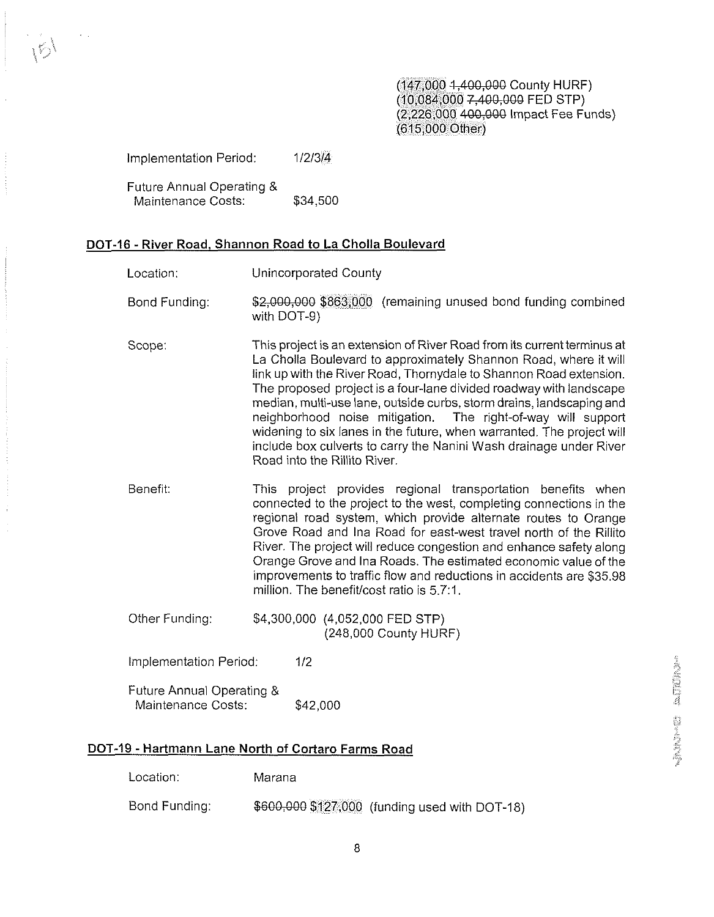(147,000 **1546QiBBB** County HURF)  $(10.084, 0007, 400, 000$  FED STP) (2,226,000 400,000 Impact Fee Funds) (615,000 Other)

Implementation Period: 1/2/3/4

Future Annual Operating & Maintenance Costs: \$34,500

#### **DOT-16** - River Road, Shannon Road to La Cholla Boulevard

- Location: Unincorporated County
- Bond Funding: \$2,000,000 \$863,000 (remaining unused bond funding combined with DOT-9)
- Scope: This project is an extension of River Road from its current terminus at La Cholla Boulevard to approximately Shannon Road, where it will link up with the River Road, Thornydale to Shannon Road extension. The proposed project is a four-lane divided roadway with landscape median, multi-use lane, outside curbs, storm drains, landscaping and neighborhood noise mitigation. The right-of-way will support widening to six lanes in the future, when warranted. The project will include box culverts to carry the Nanini Wash drainage under River Road into the Rillito River.
- Benefit: This project provides regional transportation benefits when connected to the project to the west, completing connections in the regional road system, which provide alternate routes to Orange Grove Road and lna Road for east-west travel north of the Rillito River. The project will reduce congestion and enhance safety along Orange Grove and lna Roads. The estimated economic value of the improvements to traffic flow and reductions in accidents are \$35.98 million. The benefit/cost ratio is 5.7:1.
- Other Funding: \$4,300,000 (4,052,000 FED STP) (248,000 County HURF)

Implementation Period: 1/2

Future Annual Operating & Maintenance Costs: \$42,000

#### **DOT-19** - Hartmann Lane North of Cortaro Farms Road

Location: Marana

Bond Funding:  $$600,000$127,000$  (funding used with DOT-18)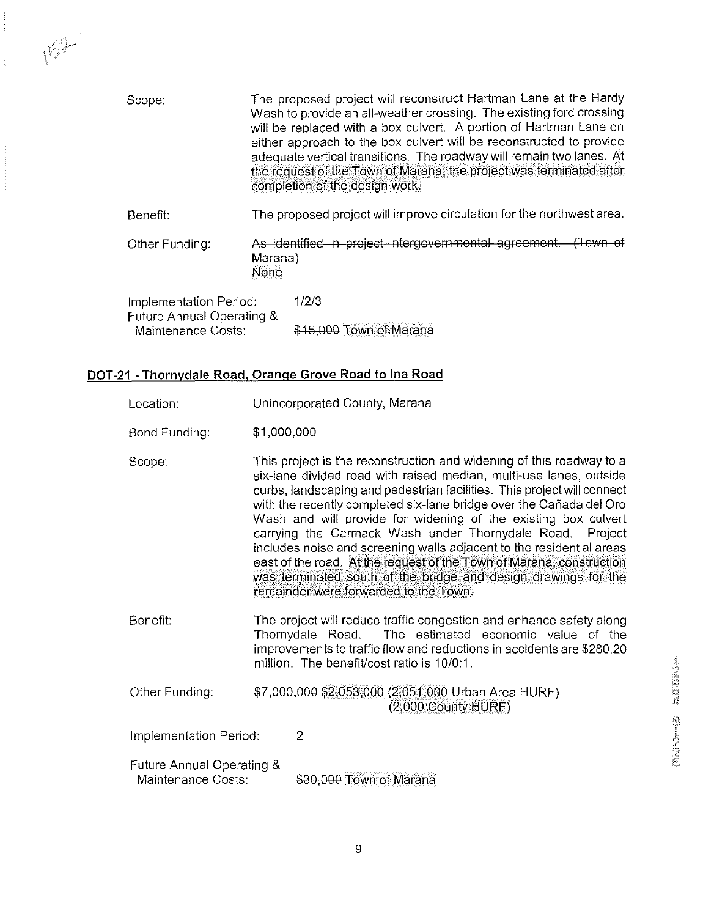| Scope:                                                                    | The proposed project will reconstruct Hartman Lane at the Hardy<br>Wash to provide an all-weather crossing. The existing ford crossing<br>will be replaced with a box culvert. A portion of Hartman Lane on<br>either approach to the box culvert will be reconstructed to provide<br>adequate vertical transitions. The roadway will remain two lanes. At<br>the request of the Town of Marana, the project was terminated after<br>completion of the design work. |  |  |
|---------------------------------------------------------------------------|---------------------------------------------------------------------------------------------------------------------------------------------------------------------------------------------------------------------------------------------------------------------------------------------------------------------------------------------------------------------------------------------------------------------------------------------------------------------|--|--|
| Benefit:                                                                  | The proposed project will improve circulation for the northwest area.                                                                                                                                                                                                                                                                                                                                                                                               |  |  |
| Other Funding:                                                            | As identified in project intergovernmental agreement. (Town of<br>Marana)<br>None                                                                                                                                                                                                                                                                                                                                                                                   |  |  |
| Implementation Period:<br>Future Annual Operating &<br>Maintenance Costs: | 1/2/3<br>\$15,000 Town of Marana                                                                                                                                                                                                                                                                                                                                                                                                                                    |  |  |

#### DOT-21 - Thornydale Road, Orange Grove Road **to** lna Road

 $\sqrt{2}$ 

| Location:                                       |                                                                                                                                                                                                                                                                                                                                                                                                                                                                                                                                                                                                                                                                                          | Unincorporated County, Marana                                                                                                                                                                                                                      |
|-------------------------------------------------|------------------------------------------------------------------------------------------------------------------------------------------------------------------------------------------------------------------------------------------------------------------------------------------------------------------------------------------------------------------------------------------------------------------------------------------------------------------------------------------------------------------------------------------------------------------------------------------------------------------------------------------------------------------------------------------|----------------------------------------------------------------------------------------------------------------------------------------------------------------------------------------------------------------------------------------------------|
| Bond Funding:                                   | \$1,000,000                                                                                                                                                                                                                                                                                                                                                                                                                                                                                                                                                                                                                                                                              |                                                                                                                                                                                                                                                    |
| Scope:                                          | This project is the reconstruction and widening of this roadway to a<br>six-lane divided road with raised median, multi-use lanes, outside<br>curbs, landscaping and pedestrian facilities. This project will connect<br>with the recently completed six-lane bridge over the Cañada del Oro<br>Wash and will provide for widening of the existing box culvert<br>carrying the Carmack Wash under Thornydale Road.<br>Project<br>includes noise and screening walls adjacent to the residential areas<br>east of the road. At the request of the Town of Marana, construction<br>was terminated south of the bridge and design drawings for the<br>remainder were forwarded to the Town. |                                                                                                                                                                                                                                                    |
| Benefit:                                        |                                                                                                                                                                                                                                                                                                                                                                                                                                                                                                                                                                                                                                                                                          | The project will reduce traffic congestion and enhance safety along<br>Thornydale Road. The estimated economic value of the<br>improvements to traffic flow and reductions in accidents are \$280.20<br>million. The benefit/cost ratio is 10/0:1. |
| Other Funding:                                  |                                                                                                                                                                                                                                                                                                                                                                                                                                                                                                                                                                                                                                                                                          | \$7,000,000 \$2,053,000 (2,051,000 Urban Area HURF)<br>$(2,000$ County HURF)                                                                                                                                                                       |
| Implementation Period:                          |                                                                                                                                                                                                                                                                                                                                                                                                                                                                                                                                                                                                                                                                                          | $\overline{2}$                                                                                                                                                                                                                                     |
| Future Annual Operating &<br>Maintenance Costs: |                                                                                                                                                                                                                                                                                                                                                                                                                                                                                                                                                                                                                                                                                          | \$30,000 Town of Marana                                                                                                                                                                                                                            |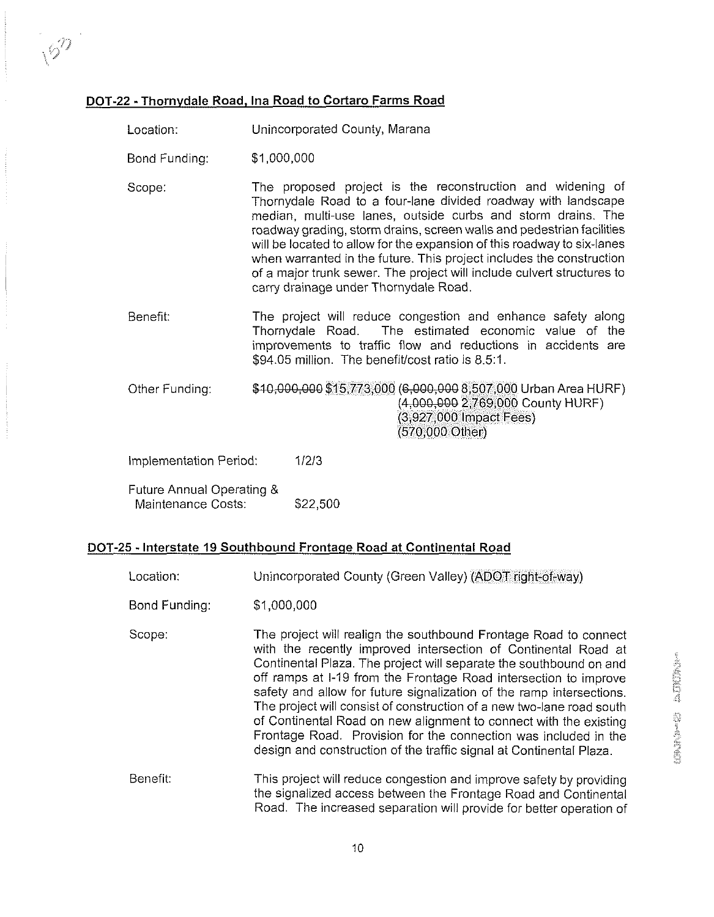#### DOT-22 - Thornydale Road, Ina Road to Cortaro Farms Road

- Location: Unincorporated County, Marana
- Bond Funding: \$1,000,000

 $\sqrt{2}$ 

- Scope: The proposed project is the reconstruction and widening of Thornydale Road to a four-lane divided roadway with landscape median, multi-use lanes, outside curbs and storm drains. The roadway grading, storm drains, screen walls and pedestrian facilities will be located to allow for the expansion of this roadway to six-lanes when warranted in the future. This project includes the construction of a major trunk sewer. The project will include culvert structures to carry drainage under Thornydale Road.
- Benefit: The project will reduce congestion and enhance safety along Thornydale Road. The estimated economic value of the improvements to traffic flow and reductions in accidents are \$94.05 million. The benefit/cost ratio is 8.5:1.
- Other Funding: \$10,000,000 \$15,773,000 (6,000,000 8,507,000 Urban Area HURF) (4&D&WQ 2,769,000 County HURF) (3,927,000 Impact Fees) (570,000 Other)
- Implementation Period: 11213
- Future Annual Operating & Maintenance Costs: \$22,500

#### DOT-25 -Interstate **19** Southbound Frontaqe Road at Continental Road

Location: Unincorporated County (Green Valley) (ADOT right-of-way) Bond Funding: \$1,000,000 Scope: Benefit: The project will realign the southbound Frontage Road to connect with the recently improved intersection of Continental Road at Continental Plaza. The project will separate the southbound on and off ramps at 1-19 from the Frontage Road intersection to improve safety and allow for future signalization of the ramp intersections. The project will consist of construction of a new two-lane road south of Continental Road on new alignment to connect with the existing Frontage Road. Provision for the connection was included in the design and construction of the traffic signal at Continental Plaza. This project will reduce congestion and improve safety by providing the signalized access between the Frontage Road and Continental Road. The increased separation will provide for better operation of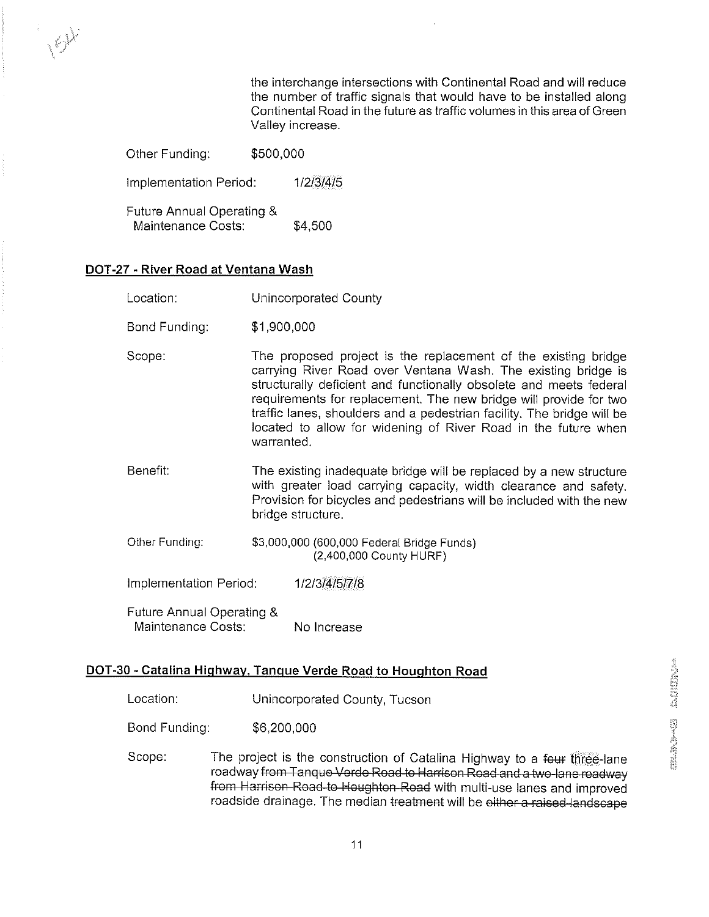the interchange intersections with Continental Road and will reduce the number of traffic signals that would have to be installed along Continental Road in the future as traffic volumes in this area of Green Valley increase.

| Other Funding:                                  | \$500,000 |           |
|-------------------------------------------------|-----------|-----------|
| Implementation Period:                          |           | 1/2/3/4/5 |
| Future Annual Operating &<br>Maintenance Costs: |           | \$4,500   |

#### DOT-27 - River Road at Ventana Wash

 $\left\langle \cdot \right\rangle ^{\lambda}$ 

- Bond Funding: \$1,900,000
- Scope: The proposed project is the replacement of the existing bridge carrying River Road over Ventana Wash. The existing bridge is structurally deficient and functionally obsolete and meets federal requirements for replacement. The new bridge will provide for two traffic lanes, shoulders and a pedestrian facility. The bridge will be located to allow for widening of River Road in the future when warranted.
- Benefit: The existing inadequate bridge will be replaced by a new structure with greater load carrying capacity, width clearance and safety. Provision for bicycles and pedestrians will be included with the new bridge structure.
- Other Funding: \$3,000,000 (600,000 Federal Bridge Funds) (2,400,000 County HURF)

Implementation Period: 1/2/3/4/5/7/8

Future Annual Operating & Maintenance Costs: No Increase

#### DOT-30 - Catalina Hiqhwav. Tanque Verde Road to Houqhton Road

Location: Unincorporated County, Tucson

Bond Funding: \$6,200,000

Scope: The project is the construction of Catalina Highway to a four three-lane roadway from Tanque Verde Road to Harrison Road and a two-lane roadway from Harrison Road to Houghton Road with multi-use lanes and improved roadside drainage. The median treatment will be either a raised-landscape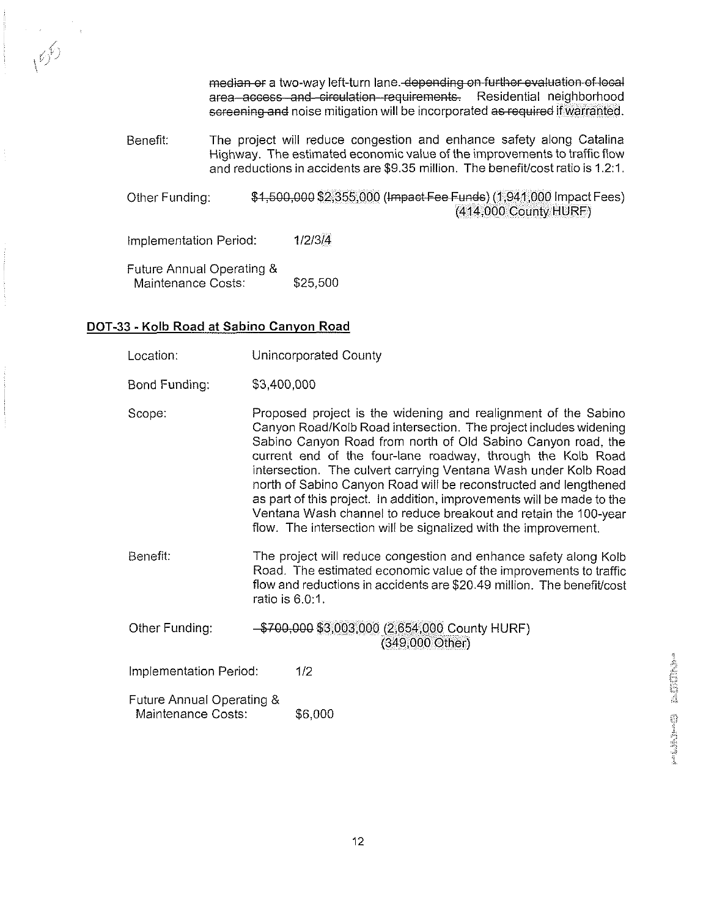median or a two-way left-turn lane. depending on further evaluation of local<br>area-access and circulation requirements. Residential neighborhood Residential neighborhood screening and noise mitigation will be incorporated as required if warranted.

Benefit: The project will reduce congestion and enhance safety along Catalina Highway. The estimated economic value of the improvements to traffic flow and reductions in accidents are \$9.35 million. The benefitlcost ratio is 1.2:l.

Other Funding:  $$4,500,000 $2,355,000$  (Impact Fee Funds) (1,941,000 Impact Fees) (414,000 County HURF)

Implementation Period: 1/2/3/4

Future Annual Operating & Maintenance Costs: \$25,500

#### DOT-33 - **Kolb** Road at Sabino Canyon Road

- Location: Unincorporated County
- Bond Funding: \$3,400,000
- Scope: Proposed project is the widening and realignment of the Sabino Canyon RoadlKolb Road intersection. The project includes widening Sabino Canyon Road from north of Old Sabino Canyon road, the current end of the four-lane roadway, through the Kolb Road intersection. The culvert carrying Ventana Wash under Kolb Road north of Sabino Canyon Road will be reconstructed and lengthened as part of this project. In addition, improvements will be made to the Ventana Wash channel to reduce breakout and retain the 100-year flow. The intersection will be signalized with the improvement.
- Benefit: The project will reduce congestion and enhance safety along Kolb Road. The estimated economic value of the improvements to traffic flow and reductions in accidents are \$20.49 million. The benefit/cost ratio is  $6.0:1$ .
- Other Funding: \$700,000 \$3,003,000 (2,654,000 County HURF) (349,000 Other)

Implementation Period: 1/2

Future Annual Operating & Maintenance Costs: \$6,000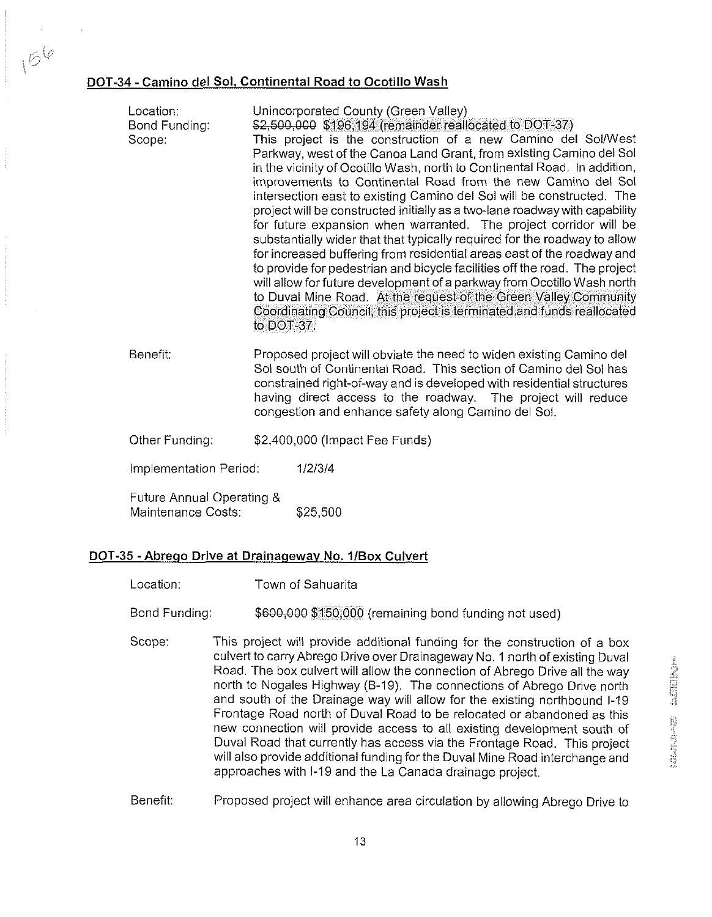#### DOT-34 - Camino del Sol. Continental Road to Ocotillo Wash

 $15^{6}$ 

| Location:<br>Bond Funding:<br>Scope:            | Unincorporated County (Green Valley)<br>\$2,500,000 \$196,194 (remainder reallocated to DOT-37)<br>This project is the construction of a new Camino del Sol/West<br>Parkway, west of the Canoa Land Grant, from existing Camino del Sol<br>in the vicinity of Ocotillo Wash, north to Continental Road. In addition,<br>improvements to Continental Road from the new Camino del Sol<br>intersection east to existing Camino del Sol will be constructed. The<br>project will be constructed initially as a two-lane roadway with capability<br>for future expansion when warranted. The project corridor will be<br>substantially wider that that typically required for the roadway to allow<br>for increased buffering from residential areas east of the roadway and<br>to provide for pedestrian and bicycle facilities off the road. The project<br>will allow for future development of a parkway from Ocotillo Wash north<br>to Duval Mine Road. At the request of the Green Valley Community<br>Coordinating Council, this project is terminated and funds reallocated<br>to DOT-37. |                                                                                                                                                                                                                                                                                                                                          |
|-------------------------------------------------|-----------------------------------------------------------------------------------------------------------------------------------------------------------------------------------------------------------------------------------------------------------------------------------------------------------------------------------------------------------------------------------------------------------------------------------------------------------------------------------------------------------------------------------------------------------------------------------------------------------------------------------------------------------------------------------------------------------------------------------------------------------------------------------------------------------------------------------------------------------------------------------------------------------------------------------------------------------------------------------------------------------------------------------------------------------------------------------------------|------------------------------------------------------------------------------------------------------------------------------------------------------------------------------------------------------------------------------------------------------------------------------------------------------------------------------------------|
| Benefit:                                        |                                                                                                                                                                                                                                                                                                                                                                                                                                                                                                                                                                                                                                                                                                                                                                                                                                                                                                                                                                                                                                                                                               | Proposed project will obviate the need to widen existing Camino del<br>Sol south of Continental Road. This section of Camino del Sol has<br>constrained right-of-way and is developed with residential structures<br>having direct access to the roadway. The project will reduce<br>congestion and enhance safety along Camino del Sol. |
| Other Funding:                                  |                                                                                                                                                                                                                                                                                                                                                                                                                                                                                                                                                                                                                                                                                                                                                                                                                                                                                                                                                                                                                                                                                               | \$2,400,000 (Impact Fee Funds)                                                                                                                                                                                                                                                                                                           |
| Implementation Period:                          |                                                                                                                                                                                                                                                                                                                                                                                                                                                                                                                                                                                                                                                                                                                                                                                                                                                                                                                                                                                                                                                                                               | 1/2/3/4                                                                                                                                                                                                                                                                                                                                  |
| Future Annual Operating &<br>Maintenance Costs: |                                                                                                                                                                                                                                                                                                                                                                                                                                                                                                                                                                                                                                                                                                                                                                                                                                                                                                                                                                                                                                                                                               | \$25,500                                                                                                                                                                                                                                                                                                                                 |

#### DOT-35 - Abrego Drive at Drainageway No. 1/Box Culvert

Location: Town of Sahuarita

Bond Funding: \$600,000 \$150,000 (remaining bond funding not used)

Scope: This project will provide additional funding for the construction of a box culvert to carry Abrego Drive over Drainageway No. 1 north of existing Duval Road. The box culvert will allow the connection of Abrego Drive all the way north to Nogales Highway (8-19). The connections of Abrego Drive north and south of the Drainage way will allow for the existing northbound 1-19 Frontage Road north of Duval Road to be relocated or abandoned as this new connection will provide access to all existing development south of Duval Road that currently has access via the Frontage Road. This project will also provide additional funding for the Duval Mine Road interchange and approaches with 1-19 and the La Canada drainage project.

Benefit: Proposed project will enhance area circulation by allowing Abrego Drive to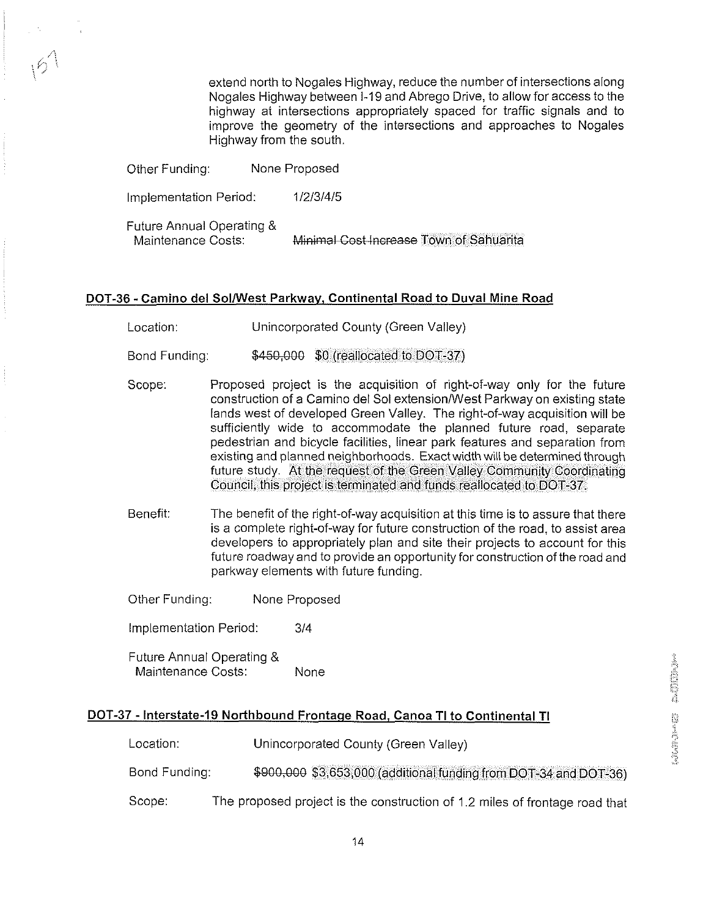extend north to Nogales Highway, reduce the number of intersections along Nogales Highway between 1-19 and Abrego Drive, to allow for access to the highway at intersections appropriately spaced for traffic signals and to improve the geometry of the intersections and approaches to Nogales Highway from the south.

| Other Funding:                                  | None Proposed                           |  |
|-------------------------------------------------|-----------------------------------------|--|
| Implementation Period:                          | 1/2/3/4/5                               |  |
| Future Annual Operating &<br>Maintenance Costs: | Minimal Cost Increase Town of Sahuarita |  |

#### DOT-36 - Camino del SolWest Parkwav. Continental Road to Duval Mine Road

Location: Unincorporated County (Green Valley)

Bond Funding:  $$450,000$   $$0$  (reallocated to DOT-37)

- Scope: Proposed project is the acquisition of right-of-way only for the future construction of a Camino del Sol extension/West Parkway on existing state lands west of developed Green Valley. The right-of-way acquisition will be sufficiently wide to accommodate the planned future road, separate pedestrian and bicycle facilities, linear park features and separation from existing and planned neighborhoods. Exact width will be determined through future study. At the request of the Green Valley Community Coordinating Council, this project is terminated and funds reallocated to DOT-37.
- Benefit: The benefit of the right-of-way acquisition at this time is to assure that there is a complete right-of-way for future construction of the road, to assist area developers to appropriately plan and site their projects to account for this future roadway and to provide an opportunity for construction of the road and parkway elements with future funding.

Other Funding: None Proposed

Implementation Period: 314

Future Annual Operating & Maintenance Costs: None

#### DOT-37 - Interstate-I9 Northbound Frontaqe Road, Canoa TI to Continental TI

Location: Unincorporated County (Green Valley) Bond Funding: \$900,000 \$3,653,000 (additional funding from DOT-34 and DOT-36)

Scope: The proposed project is the construction of 1.2 miles of frontage road that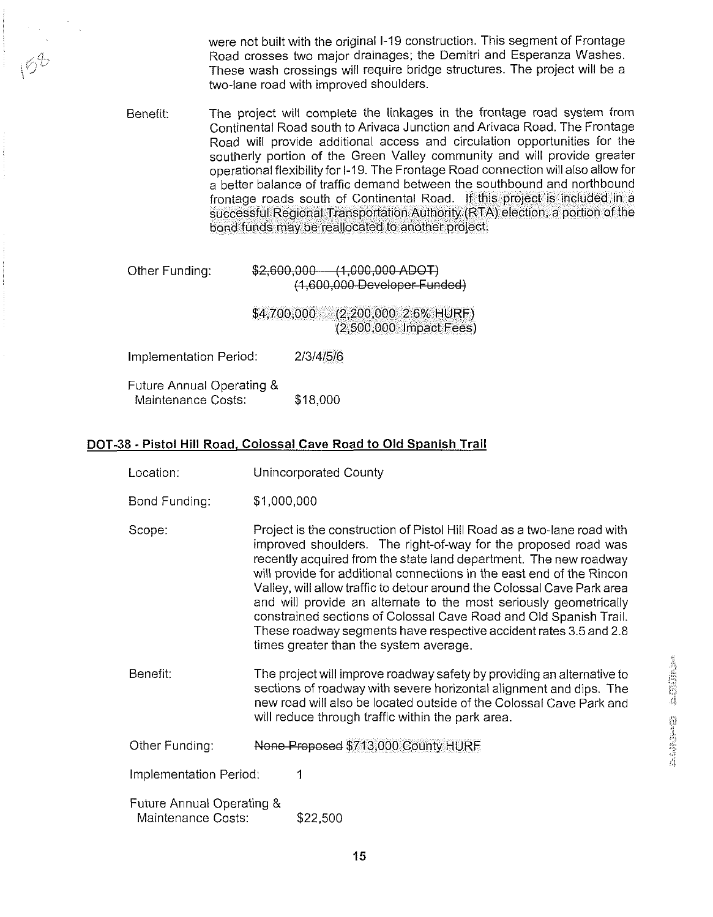were not built with the original 1-19 construction. This segment of Frontage Road crosses two major drainages; the Demitri and Esperanza Washes. These wash crossings will require bridge structures. The project will be a two-lane road with improved shoulders.

Benefit: The project will complete the linkages in the frontage road system from Continental Road south to Arivaca Junction and Arivaca Road. The Frontage Road wlll provlde additional access and circulation opportunities for the southerly portion of the Green Valley community and will provide greater operational flexibility for I-19. The Frontage Road connection will also allow for a better balance of traffic demand between the southbound and northbound frontage roads south of Continental Road. If this project is included in a successful Regional Transportation Authority (RTA) election, a portlon of the bond funds may be reallocated to another project.

| Other Funding:         | $$2,600,000 - (1,000,000$ ADOT<br>(1,600,000 Developer Funded)  |
|------------------------|-----------------------------------------------------------------|
|                        | (2,200,000 2.6% HURF)<br>\$4,700,000<br>(2,500,000 Impact Fees) |
| Implementation Period: | 2/3/4/5/6                                                       |

| Future Annual Operating & |          |
|---------------------------|----------|
| Maintenance Costs:        | \$18,000 |

#### DOT-38 - Pistol Hill Road, Colossal Cave Road to Old Spanish Trail

- Location: Unincorporated County
- Bond Funding: \$1,000,000
- Scope: Project is the construction of Pistol Hill Road as a two-lane road with improved shoulders. The right-of-way for the proposed road was recently acquired from the state land department. The new roadway will provide for additional connections in the east end of the Rincon Valley, will allow traffic to detour around the Colossal Cave Park area and will provide an alternate to the most seriously geometrically constrained sections of Colossal Cave Road and Old Spanish Trail. These roadway segments have respective accident rates 3.5 and 2.8 times greater than the system average.
- Benefit: The project will improve roadway safety by providing an alternative to sections of roadway with severe horizontal alignment and dips. The new road will also be located outside of the Colossal Cave Park and will reduce through traffic within the park area.
- Other Funding: None Proposed \$713,000 County HURF
- Implementation Period: 1
- Future Annual Operating & Maintenance Costs: \$22,500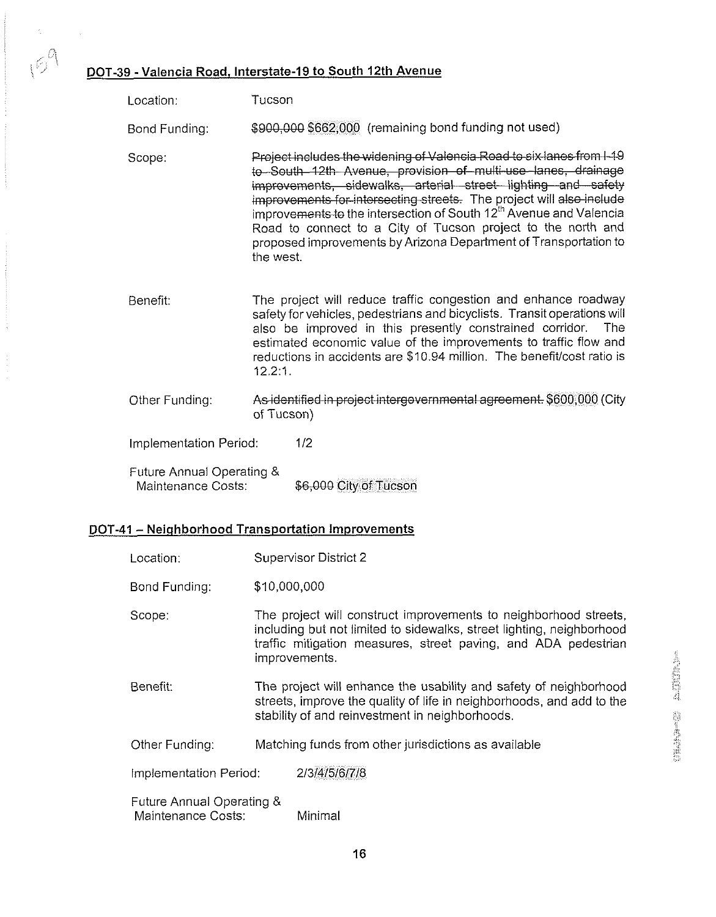#### DOT-39 - Valencia Road, Interstate-19 to South 12th Avenue

 $\frac{1}{2}$ 

 $169$ 

 $\mathcal{L}$ 

|                                                 | 9 - Valencia Road, Interstate-19 to South 12th Avenue                                                                                                                                                                                                                                                                                                                                                                                                                                                            |  |
|-------------------------------------------------|------------------------------------------------------------------------------------------------------------------------------------------------------------------------------------------------------------------------------------------------------------------------------------------------------------------------------------------------------------------------------------------------------------------------------------------------------------------------------------------------------------------|--|
| Location:                                       | Tucson                                                                                                                                                                                                                                                                                                                                                                                                                                                                                                           |  |
| Bond Funding:                                   | \$900,000 \$662,000 (remaining bond funding not used)                                                                                                                                                                                                                                                                                                                                                                                                                                                            |  |
| Scope:                                          | Project includes the widening of Valencia Road to six lanes from I-19<br>to South 12th Avenue, provision of multi-use lanes, drainage<br>improvements, sidewalks, arterial street lighting and safety<br>improvements for intersecting streets. The project will also include<br>improvements to the intersection of South 12 <sup>th</sup> Avenue and Valencia<br>Road to connect to a City of Tucson project to the north and<br>proposed improvements by Arizona Department of Transportation to<br>the west. |  |
| Benefit:                                        | The project will reduce traffic congestion and enhance roadway<br>safety for vehicles, pedestrians and bicyclists. Transit operations will<br>also be improved in this presently constrained corridor.<br>The<br>estimated economic value of the improvements to traffic flow and<br>reductions in accidents are \$10.94 million. The benefit/cost ratio is<br>1221                                                                                                                                              |  |
| Other Funding:                                  | As identified in project intergovernmental agreement. \$600,000 (City<br>of Tucson)                                                                                                                                                                                                                                                                                                                                                                                                                              |  |
| Implementation Period:                          | 1/2                                                                                                                                                                                                                                                                                                                                                                                                                                                                                                              |  |
| Future Annual Operating &<br>Maintenance Costs: | \$6,000 City of Tucson                                                                                                                                                                                                                                                                                                                                                                                                                                                                                           |  |

#### DOT-41 - Neighborhood Transportation Improvements

| Location:                                       | <b>Supervisor District 2</b>                                                                                                                                                                                                 |                                                      |
|-------------------------------------------------|------------------------------------------------------------------------------------------------------------------------------------------------------------------------------------------------------------------------------|------------------------------------------------------|
| Bond Funding:                                   | \$10,000,000                                                                                                                                                                                                                 |                                                      |
| Scope:                                          | The project will construct improvements to neighborhood streets,<br>including but not limited to sidewalks, street lighting, neighborhood<br>traffic mitigation measures, street paving, and ADA pedestrian<br>improvements. |                                                      |
| Benefit:                                        | The project will enhance the usability and safety of neighborhood<br>streets, improve the quality of life in neighborhoods, and add to the<br>stability of and reinvestment in neighborhoods.                                |                                                      |
| Other Funding:                                  |                                                                                                                                                                                                                              | Matching funds from other jurisdictions as available |
| Implementation Period:                          |                                                                                                                                                                                                                              | 2/3/4/5/6/7/8                                        |
| Future Annual Operating &<br>Maintenance Costs: |                                                                                                                                                                                                                              | Minimal                                              |

**THE BASE OF BUILDING**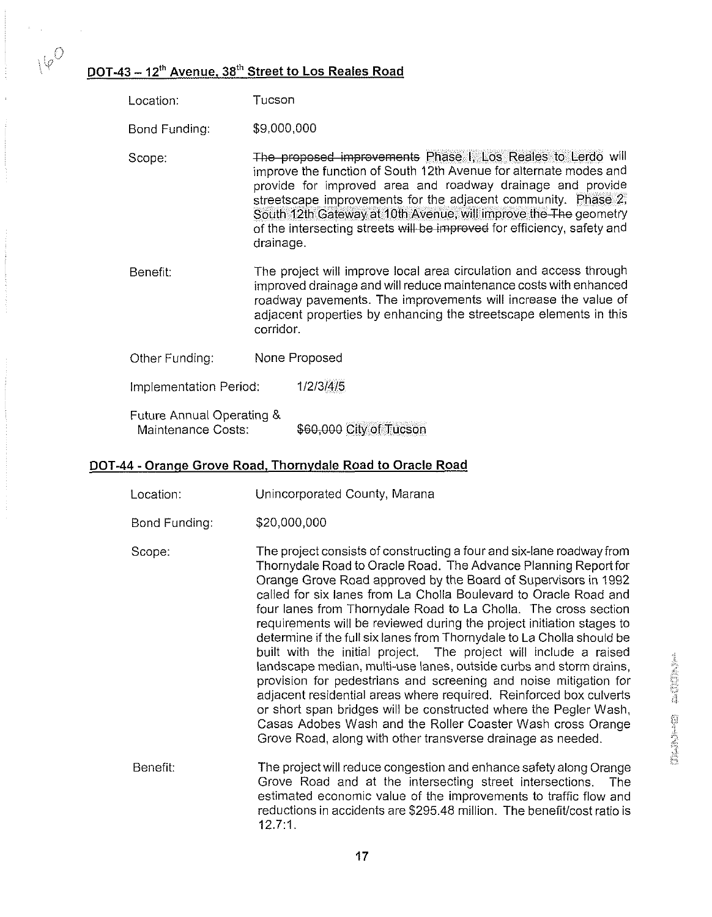### $\sqrt{\varphi^\cup}$  DOT-43 – 12<sup>th</sup> Avenue, 38<sup>th</sup> Street to Los Reales Road

| Location:                                       | Tucson                                                                                                                                                                                                                                                                                                                                                                                                                      |                         |
|-------------------------------------------------|-----------------------------------------------------------------------------------------------------------------------------------------------------------------------------------------------------------------------------------------------------------------------------------------------------------------------------------------------------------------------------------------------------------------------------|-------------------------|
| Bond Funding:                                   | \$9,000,000                                                                                                                                                                                                                                                                                                                                                                                                                 |                         |
| Scope:                                          | The proposed improvements Phase I, Los Reales to Lerdo will<br>improve the function of South 12th Avenue for alternate modes and<br>provide for improved area and roadway drainage and provide<br>streetscape improvements for the adjacent community. Phase 2,<br>South 12th Gateway at 10th Avenue, will improve the The geometry<br>of the intersecting streets will be improved for efficiency, safety and<br>drainage. |                         |
| Benefit:                                        | The project will improve local area circulation and access through<br>improved drainage and will reduce maintenance costs with enhanced<br>roadway pavements. The improvements will increase the value of<br>adjacent properties by enhancing the streetscape elements in this<br>corridor.                                                                                                                                 |                         |
| Other Funding:                                  | None Proposed                                                                                                                                                                                                                                                                                                                                                                                                               |                         |
| Implementation Period:                          |                                                                                                                                                                                                                                                                                                                                                                                                                             | 1/2/3/4/5               |
| Future Annual Operating &<br>Maintenance Costs: |                                                                                                                                                                                                                                                                                                                                                                                                                             | \$60,000 City of Tucson |

#### DOT-44 - Oranae Grove Road. Thornvdale Road to Oracle Road

| Location: | Unincorporated County, Marana |  |
|-----------|-------------------------------|--|
|-----------|-------------------------------|--|

- Bond Funding: \$20,000,000
- Scope: The project consists of constructing a four and six-lane roadway from Thornydale Road to Oracle Road. The Advance Planning Reportfor Orange Grove Road approved by the Board of Supervisors in 1992 called for six lanes from La Cholla Boulevard to Oracle Road and four lanes from Thornydale Road to La Cholla. The cross section requirements will be reviewed during the project initiation stages to determine if the full six lanes from Thornydale to La Cholla should be built with the initial project. The project will include a raised landscape median, multi-use lanes, outside curbs and storm drains, provision for pedestrians and screening and noise mitigation for adjacent residential areas where required. Reinforced box culverts or short span bridges will be constructed where the Pegler Wash, Casas Adobes Wash and the Roller Coaster Wash cross Orange Grove Road, along with other transverse drainage as needed.
- Benefit: The project will reduce congestion and enhance safety along Orange Grove Road and at the intersecting street intersections. The estimated economic value of the improvements to traffic flow and reductions in accidents are \$295.48 million. The benefit/cost ratio is 12.7:l.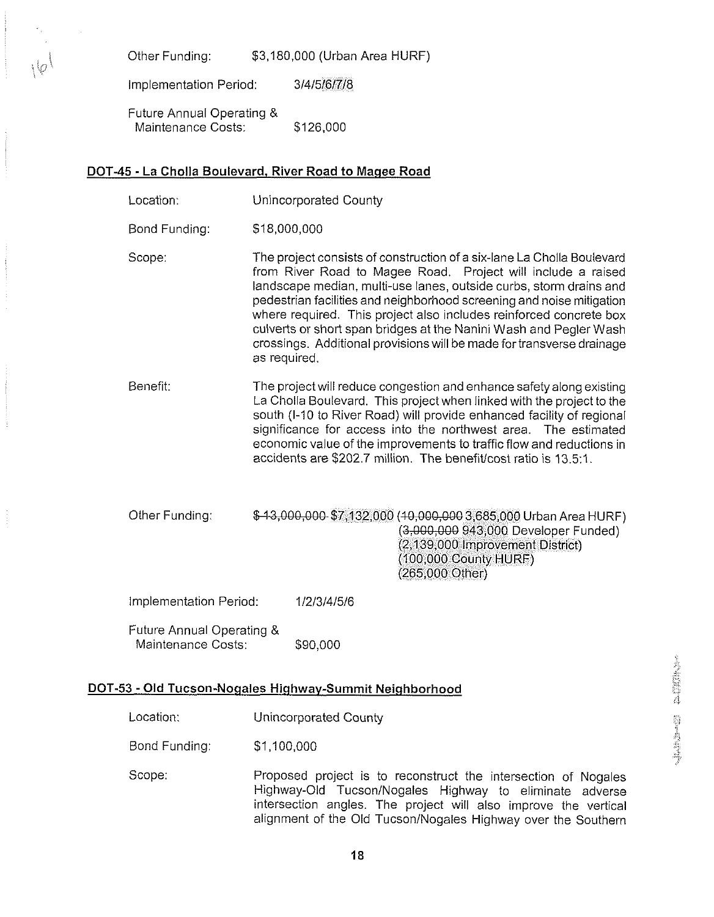Other Funding: \$3,180,000 (Urban Area HURF)

Implementation Period: 3/4/5/6/7/8

Future Annual Operating & Maintenance Costs: \$126,000

#### DOT-45 - La Cholla Boulevard, River Road to Maqee Road

- Location: Unincorporated County
- Bond Funding: \$18,000,000
- Scope: The project consists of construction of a six-lane La Cholla Boulevard from River Road to Magee Road. Project will include a raised landscape median, multi-use lanes, outside curbs, storm drains and pedestrian facilities and neighborhood screening and noise mitigation where required. This project also includes reinforced concrete box culverts or short span bridges at the Nanini Wash and Pegler Wash crossings. Additional provisions will be made for transverse drainage as required.
- Benefit: The project will reduce congestion and enhance safety along existing La Cholla Boulevard. This projectwhen linked with the project to the south (1-10 to River Road) will provide enhanced facility of regional significance for access into the northwest area. The estimated economic value of the improvements to traffic flow and reductions in accidents are \$202.7 million. The benefit/cost ratio is 13.5:1.

Other Funding: \$43,000,000 \$7,132,000 (40,000,000 3,685,000 Urban Area HURF) (3,000,000 943,000 Developer Funded) (2,139,000 Improvement District) (100,000 County HURF) (265,000 Other)

Implementation Period: 1/2/3/4/5/6

Future Annual Operating & Maintenance Costs: \$90,000

# Motion: DOT-53 - Old Tucson-Nogales Highway-Summit Neighborhood<br>
Location: Unincorporated County<br>
Bond Funding: \$1,100,000

| Location: | Unincorporated County |  |
|-----------|-----------------------|--|
|-----------|-----------------------|--|

 $\mathsf B$ ond Funding:  $\qquad \qquad \mathsf S1,\mathsf{100,000} \qquad \qquad \qquad$ 

Scope: Proposed project is to reconstruct the intersection of Nogales Highway-Old Tucson/Nogales Highway to eliminate adverse intersection angles. The project will also improve the vertical alignment of the Old Tucson/Nogales Highway over the Southern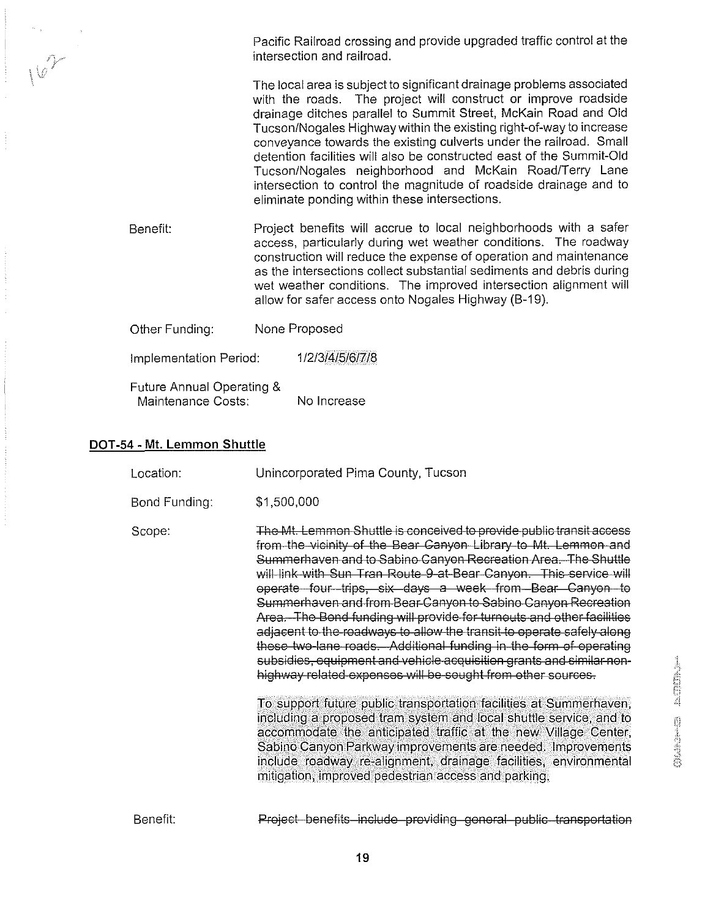Pacific Railroad crossing and provide upgraded traffic control at the intersection and railroad. The local area is subject to significant drainage problems associated with the roads. The project will construct or improve roadside drainage ditches parallel to Summit Street, McKain Road and Old TucsonlNogales Highway within the existing right-of-way to increase conveyance towards the existing culverts under the railroad. Small detention facilities will also be constructed east of the Summit-Old Tucson/Nogales neighborhood and McKain Road/Terry Lane

intersection to control the magnitude of roadside drainage and to

Benefit: Project benefits will accrue to local neighborhoods with a safer access, particularly during wet weather conditions. The roadway construction will reduce the expense of operation and maintenance as the intersections collect substantial sediments and debris during wet weather conditions. The improved intersection alignment will allow for safer access onto Nogales Highway (B-19).

eliminate ponding within these intersections.

| Other Funding: | None Proposed |
|----------------|---------------|
|                |               |

1/2/3/4/5/6/7/8 Implementation Period:

Future Annual Operating & Maintenance Costs: No Increase

#### **DOT-54** - **Mt. Lemmon Shuttle**

| Location:     | Unincorporated Pima County, Tucson                                                                                                                                                                                                                                                                                                                                                                                                                                                                                                                                                                                                                                                                                                                                                                                                                                                                                                                                                  |
|---------------|-------------------------------------------------------------------------------------------------------------------------------------------------------------------------------------------------------------------------------------------------------------------------------------------------------------------------------------------------------------------------------------------------------------------------------------------------------------------------------------------------------------------------------------------------------------------------------------------------------------------------------------------------------------------------------------------------------------------------------------------------------------------------------------------------------------------------------------------------------------------------------------------------------------------------------------------------------------------------------------|
| Bond Funding: | \$1,500,000                                                                                                                                                                                                                                                                                                                                                                                                                                                                                                                                                                                                                                                                                                                                                                                                                                                                                                                                                                         |
| Scope:        | The Mt. Lemmon Shuttle is conceived to provide public transit access<br>from the vicinity of the Bear Canyon Library to Mt. Lemmon and<br>Summerhaven and to Sabino Canyon Recreation Area. The Shuttle<br>will link with Sun Tran Route 9 at Bear Canyon. This service will<br>operate four trips, six days a week from Bear Canyon to<br>Summerhaven and from Bear Canyon to Sabino Canyon Recreation<br>Area. The Bond funding will provide for turnouts and other facilities<br>adjacent to the roadways to allow the transit to operate safely along<br>these two-lane roads. Additional funding in the form of operating<br>subsidies, equipment and vehicle acquisition grants and similar non-<br>highway related expenses will be sought from other sources.<br>To support future public transportation facilities at Summerhaven,<br>including a proposed tram system and local shuttle service, and to<br>accommodate the anticipated traffic at the new Village Center, |
|               | Sabino Canyon Parkway improvements are needed. Improvements<br>include roadway re-alignment, drainage facilities, environmental<br>mitigation, improved pedestrian access and parking.                                                                                                                                                                                                                                                                                                                                                                                                                                                                                                                                                                                                                                                                                                                                                                                              |

Project-benefits-include-providing-general-public-transportation Benefit: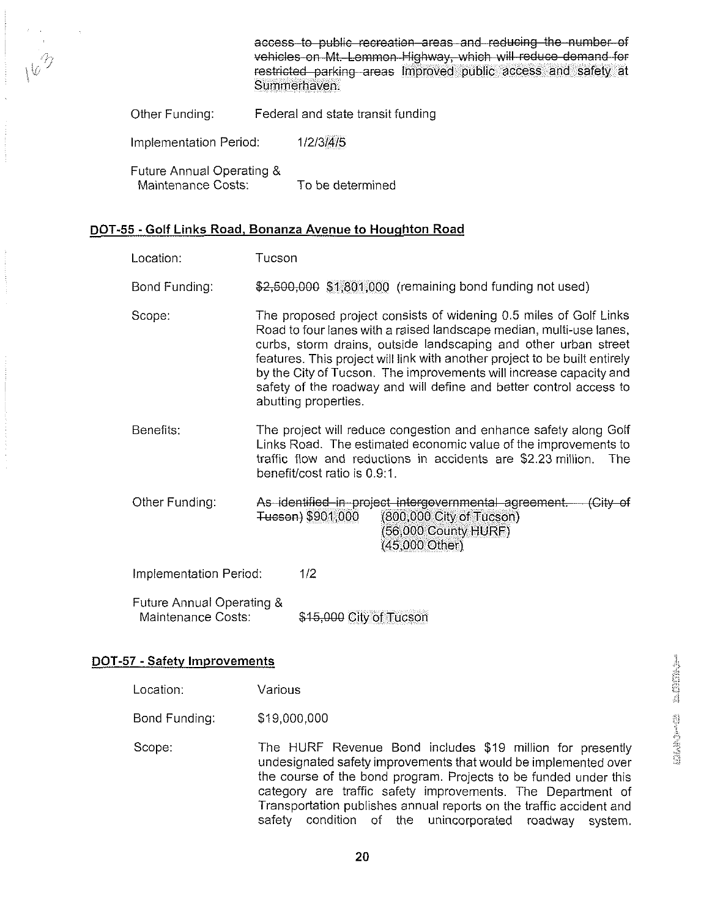access to public recreation areas and reducing the number of vehicles on Mt. Lemmon Highway, which will reduce demand for restricted parking areas Improved public access and safety at Summerhaven.

Other Funding: Federal and state transit funding

Implementation Period: 1/2/3/4/5

Future Annual Operating & Maintenance Costs: To be determined

#### **DOT-55** -Golf Links Road, Bonanza Avenue to Houqhton Road

| Location:                                       | Tucson |                                                                                                                                                                                                                                                                                                                                                                                                                                                               |
|-------------------------------------------------|--------|---------------------------------------------------------------------------------------------------------------------------------------------------------------------------------------------------------------------------------------------------------------------------------------------------------------------------------------------------------------------------------------------------------------------------------------------------------------|
| Bond Funding:                                   |        | \$2,500,000 \$1,801,000 (remaining bond funding not used)                                                                                                                                                                                                                                                                                                                                                                                                     |
| Scope:                                          |        | The proposed project consists of widening 0.5 miles of Golf Links<br>Road to four lanes with a raised landscape median, multi-use lanes,<br>curbs, storm drains, outside landscaping and other urban street<br>features. This project will link with another project to be built entirely<br>by the City of Tucson. The improvements will increase capacity and<br>safety of the roadway and will define and better control access to<br>abutting properties. |
| Benefits:                                       |        | The project will reduce congestion and enhance safety along Golf<br>Links Road. The estimated economic value of the improvements to<br>traffic flow and reductions in accidents are \$2.23 million. The<br>benefit/cost ratio is 0.9:1.                                                                                                                                                                                                                       |
| Other Funding:                                  |        | As identified in project intergovernmental agreement. (City of<br>Tucson) \$901,000<br>(800,000 City of Tucson)<br>56,000 County HURF)<br>(45,000 Other)                                                                                                                                                                                                                                                                                                      |
| Implementation Period:                          |        | 1/2                                                                                                                                                                                                                                                                                                                                                                                                                                                           |
| Future Annual Operating &<br>Maintenance Costs: |        | \$15,000 City of Tucson                                                                                                                                                                                                                                                                                                                                                                                                                                       |

#### **DOT-57** - Safety Improvements

| Location: | Various |
|-----------|---------|
|-----------|---------|

Bond Funding: \$19,000,000

Scope: The HURF Revenue Bond includes \$19 million for presently undesignated safety improvements that would be implemented over the course of the bond program. Projects to be funded under this category are traffic safety improvements. The Department of Transportation publishes annual reports on the traffic accident and safety condition of the unincorporated roadway system.